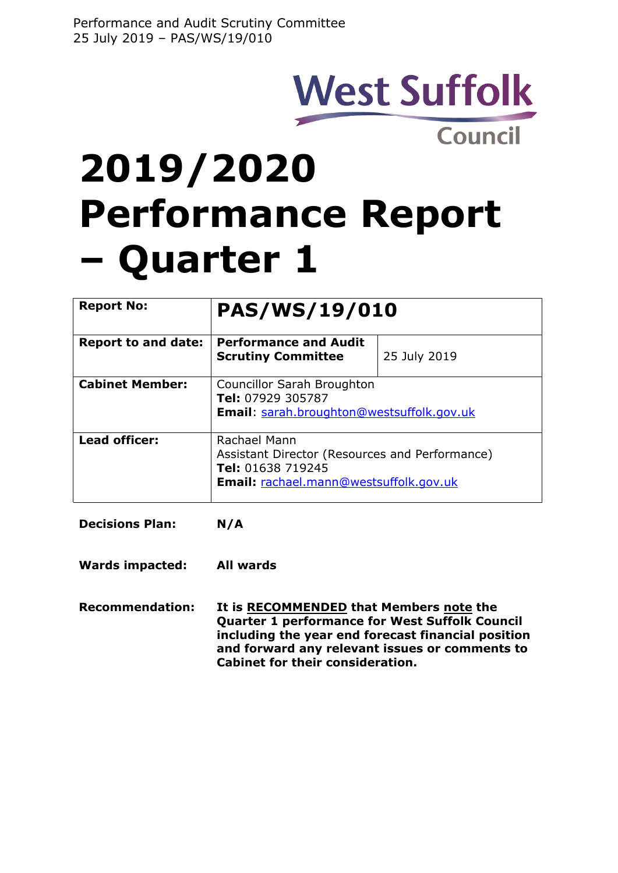## **West Suffolk Council**

# **2019/2020 Performance Report – Quarter 1**

| <b>Report No:</b>          | <b>PAS/WS/19/010</b>                                                                                                          |              |  |  |  |
|----------------------------|-------------------------------------------------------------------------------------------------------------------------------|--------------|--|--|--|
| <b>Report to and date:</b> | <b>Performance and Audit</b><br><b>Scrutiny Committee</b>                                                                     | 25 July 2019 |  |  |  |
| <b>Cabinet Member:</b>     | Councillor Sarah Broughton<br>Tel: 07929 305787<br><b>Email:</b> sarah.broughton@westsuffolk.gov.uk                           |              |  |  |  |
| Lead officer:              | Rachael Mann<br>Assistant Director (Resources and Performance)<br>Tel: 01638 719245<br>Email: rachael.mann@westsuffolk.gov.uk |              |  |  |  |

**Decisions Plan: N/A**

**Wards impacted: All wards**

**Recommendation: It is RECOMMENDED that Members note the Quarter 1 performance for West Suffolk Council including the year end forecast financial position and forward any relevant issues or comments to Cabinet for their consideration.**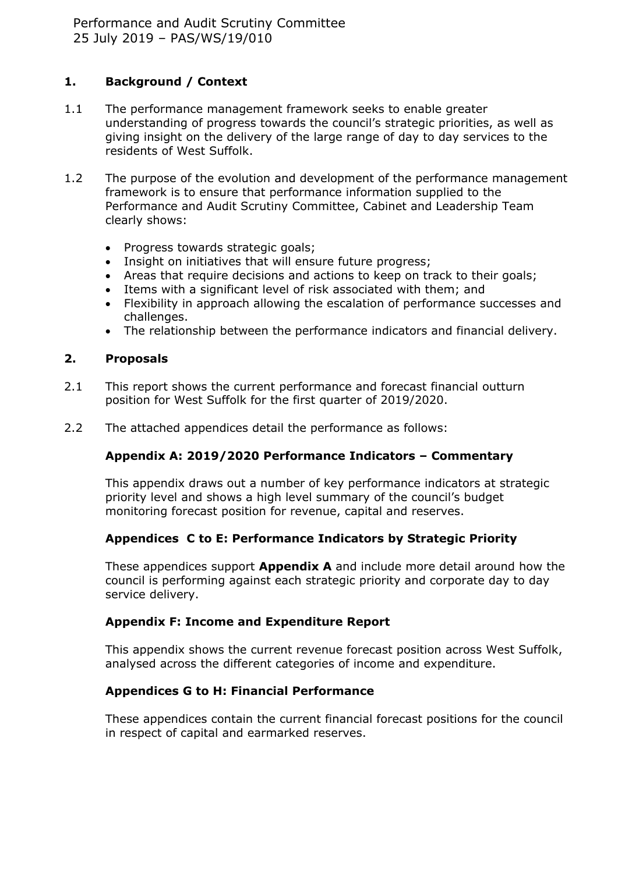## **1. Background / Context**

- 1.1 The performance management framework seeks to enable greater understanding of progress towards the council's strategic priorities, as well as giving insight on the delivery of the large range of day to day services to the residents of West Suffolk.
- 1.2 The purpose of the evolution and development of the performance management framework is to ensure that performance information supplied to the Performance and Audit Scrutiny Committee, Cabinet and Leadership Team clearly shows:
	- Progress towards strategic goals;
	- Insight on initiatives that will ensure future progress;
	- Areas that require decisions and actions to keep on track to their goals;
	- Items with a significant level of risk associated with them; and
	- Flexibility in approach allowing the escalation of performance successes and challenges.
	- The relationship between the performance indicators and financial delivery.

### **2. Proposals**

- 2.1 This report shows the current performance and forecast financial outturn position for West Suffolk for the first quarter of 2019/2020.
- 2.2 The attached appendices detail the performance as follows:

## **Appendix A: 2019/2020 Performance Indicators – Commentary**

This appendix draws out a number of key performance indicators at strategic priority level and shows a high level summary of the council's budget monitoring forecast position for revenue, capital and reserves.

## **Appendices C to E: Performance Indicators by Strategic Priority**

These appendices support **Appendix A** and include more detail around how the council is performing against each strategic priority and corporate day to day service delivery.

## **Appendix F: Income and Expenditure Report**

This appendix shows the current revenue forecast position across West Suffolk, analysed across the different categories of income and expenditure.

## **Appendices G to H: Financial Performance**

These appendices contain the current financial forecast positions for the council in respect of capital and earmarked reserves.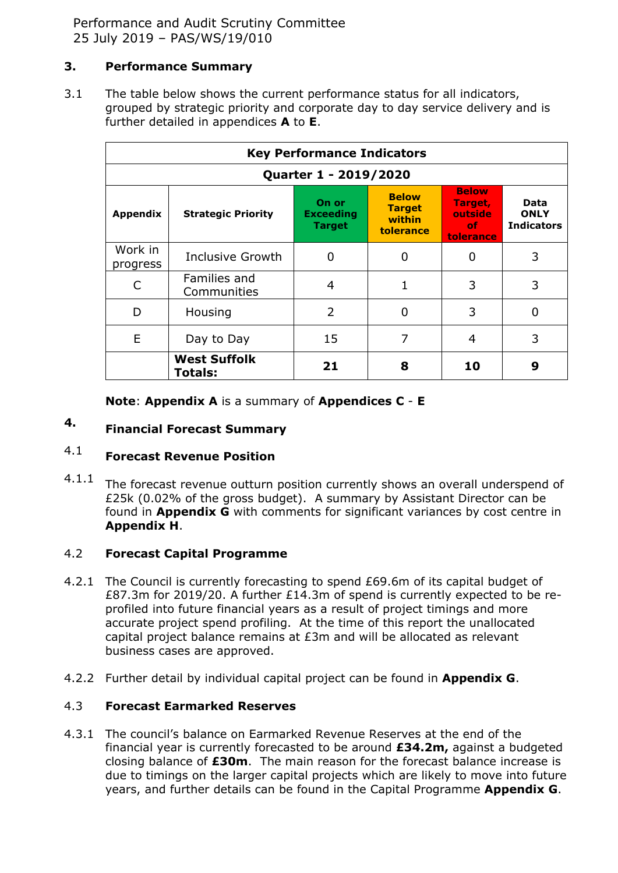Performance and Audit Scrutiny Committee 25 July 2019 – PAS/WS/19/010

#### **3. Performance Summary**

3.1 The table below shows the current performance status for all indicators, grouped by strategic priority and corporate day to day service delivery and is further detailed in appendices **A** to **E**.

| <b>Key Performance Indicators</b> |                                |                                            |                                                      |                                                        |                                          |  |  |
|-----------------------------------|--------------------------------|--------------------------------------------|------------------------------------------------------|--------------------------------------------------------|------------------------------------------|--|--|
| Quarter 1 - 2019/2020             |                                |                                            |                                                      |                                                        |                                          |  |  |
| Appendix                          | <b>Strategic Priority</b>      | On or<br><b>Exceeding</b><br><b>Target</b> | <b>Below</b><br><b>Target</b><br>within<br>tolerance | <b>Below</b><br>Target,<br>outside<br>of.<br>tolerance | Data<br><b>ONLY</b><br><b>Indicators</b> |  |  |
| Work in<br>progress               | <b>Inclusive Growth</b>        | 0                                          | 0                                                    | 0                                                      | 3                                        |  |  |
|                                   | Families and<br>Communities    | 4                                          | 1                                                    | 3                                                      | 3                                        |  |  |
| D                                 | Housing                        | $\overline{2}$                             | 0                                                    | 3                                                      | O                                        |  |  |
| E                                 | Day to Day                     | 15                                         | 7                                                    | 4                                                      | 3                                        |  |  |
|                                   | <b>West Suffolk</b><br>Totals: | 21                                         | 8                                                    | 10                                                     | 9                                        |  |  |

**Note**: **Appendix A** is a summary of **Appendices C** - **E**

#### **4. Financial Forecast Summary**

#### 4.1 **Forecast Revenue Position**

4.1.1 The forecast revenue outturn position currently shows an overall underspend of £25k (0.02% of the gross budget). A summary by Assistant Director can be found in **Appendix G** with comments for significant variances by cost centre in **Appendix H**.

#### 4.2 **Forecast Capital Programme**

- 4.2.1 The Council is currently forecasting to spend £69.6m of its capital budget of £87.3m for 2019/20. A further £14.3m of spend is currently expected to be reprofiled into future financial years as a result of project timings and more accurate project spend profiling. At the time of this report the unallocated capital project balance remains at £3m and will be allocated as relevant business cases are approved.
- 4.2.2 Further detail by individual capital project can be found in **Appendix G**.

#### 4.3 **Forecast Earmarked Reserves**

4.3.1 The council's balance on Earmarked Revenue Reserves at the end of the financial year is currently forecasted to be around **£34.2m,** against a budgeted closing balance of **£30m**. The main reason for the forecast balance increase is due to timings on the larger capital projects which are likely to move into future years, and further details can be found in the Capital Programme **Appendix G**.